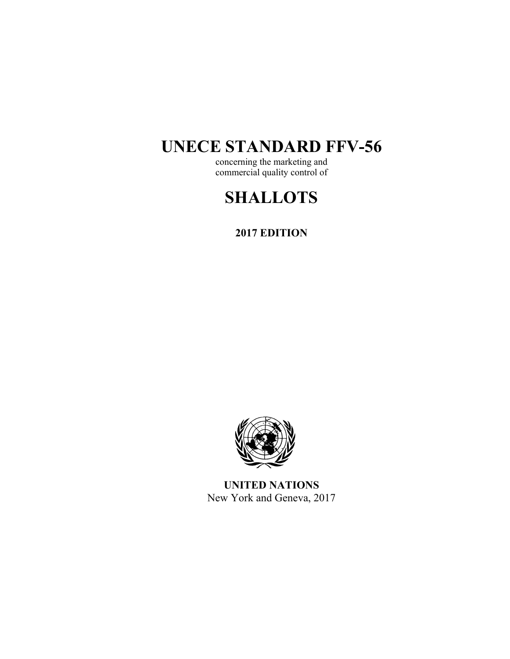# **UNECE STANDARD FFV-56**

concerning the marketing and commercial quality control of

# **SHALLOTS**

**2017 EDITION** 



**UNITED NATIONS**  New York and Geneva, 2017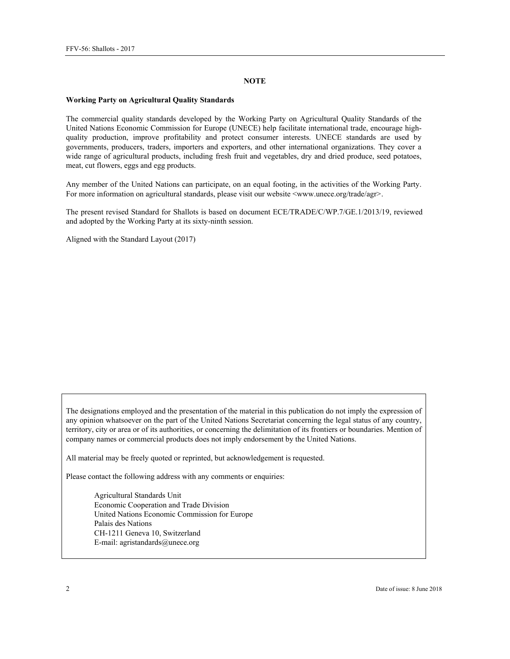#### **NOTE**

#### **Working Party on Agricultural Quality Standards**

The commercial quality standards developed by the Working Party on Agricultural Quality Standards of the United Nations Economic Commission for Europe (UNECE) help facilitate international trade, encourage highquality production, improve profitability and protect consumer interests. UNECE standards are used by governments, producers, traders, importers and exporters, and other international organizations. They cover a wide range of agricultural products, including fresh fruit and vegetables, dry and dried produce, seed potatoes, meat, cut flowers, eggs and egg products.

Any member of the United Nations can participate, on an equal footing, in the activities of the Working Party. For more information on agricultural standards, please visit our website <www.unece.org/trade/agr>.

The present revised Standard for Shallots is based on document ECE/TRADE/C/WP.7/GE.1/2013/19, reviewed and adopted by the Working Party at its sixty-ninth session.

Aligned with the Standard Layout (2017)

The designations employed and the presentation of the material in this publication do not imply the expression of any opinion whatsoever on the part of the United Nations Secretariat concerning the legal status of any country, territory, city or area or of its authorities, or concerning the delimitation of its frontiers or boundaries. Mention of company names or commercial products does not imply endorsement by the United Nations.

All material may be freely quoted or reprinted, but acknowledgement is requested.

Please contact the following address with any comments or enquiries:

Agricultural Standards Unit Economic Cooperation and Trade Division United Nations Economic Commission for Europe Palais des Nations CH-1211 Geneva 10, Switzerland E-mail: agristandards@unece.org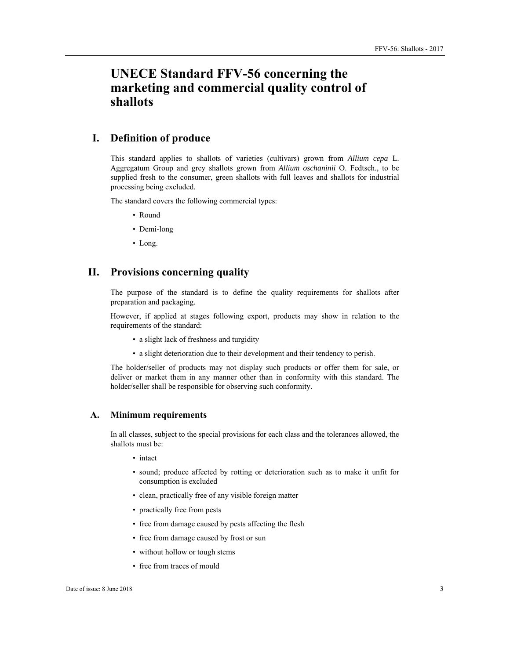# **UNECE Standard FFV-56 concerning the marketing and commercial quality control of shallots**

# **I. Definition of produce**

This standard applies to shallots of varieties (cultivars) grown from *Allium cepa* L. Aggregatum Group and grey shallots grown from *Allium oschaninii* O. Fedtsch., to be supplied fresh to the consumer, green shallots with full leaves and shallots for industrial processing being excluded.

The standard covers the following commercial types:

- Round
- Demi-long
- Long.

### **II. Provisions concerning quality**

The purpose of the standard is to define the quality requirements for shallots after preparation and packaging.

However, if applied at stages following export, products may show in relation to the requirements of the standard:

- a slight lack of freshness and turgidity
- a slight deterioration due to their development and their tendency to perish.

The holder/seller of products may not display such products or offer them for sale, or deliver or market them in any manner other than in conformity with this standard. The holder/seller shall be responsible for observing such conformity.

#### **A. Minimum requirements**

In all classes, subject to the special provisions for each class and the tolerances allowed, the shallots must be:

- intact
- sound; produce affected by rotting or deterioration such as to make it unfit for consumption is excluded
- clean, practically free of any visible foreign matter
- practically free from pests
- free from damage caused by pests affecting the flesh
- free from damage caused by frost or sun
- without hollow or tough stems
- free from traces of mould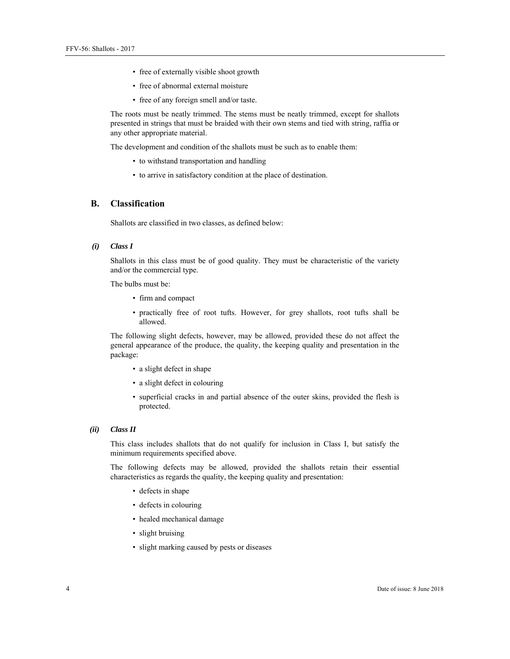- free of externally visible shoot growth
- free of abnormal external moisture
- free of any foreign smell and/or taste.

The roots must be neatly trimmed. The stems must be neatly trimmed, except for shallots presented in strings that must be braided with their own stems and tied with string, raffia or any other appropriate material.

The development and condition of the shallots must be such as to enable them:

- to withstand transportation and handling
- to arrive in satisfactory condition at the place of destination.

### **B. Classification**

Shallots are classified in two classes, as defined below:

#### *(i) Class I*

Shallots in this class must be of good quality. They must be characteristic of the variety and/or the commercial type.

The bulbs must be:

- firm and compact
- practically free of root tufts. However, for grey shallots, root tufts shall be allowed.

The following slight defects, however, may be allowed, provided these do not affect the general appearance of the produce, the quality, the keeping quality and presentation in the package:

- a slight defect in shape
- a slight defect in colouring
- superficial cracks in and partial absence of the outer skins, provided the flesh is protected.

#### *(ii) Class II*

This class includes shallots that do not qualify for inclusion in Class I, but satisfy the minimum requirements specified above.

The following defects may be allowed, provided the shallots retain their essential characteristics as regards the quality, the keeping quality and presentation:

- defects in shape
- defects in colouring
- healed mechanical damage
- slight bruising
- slight marking caused by pests or diseases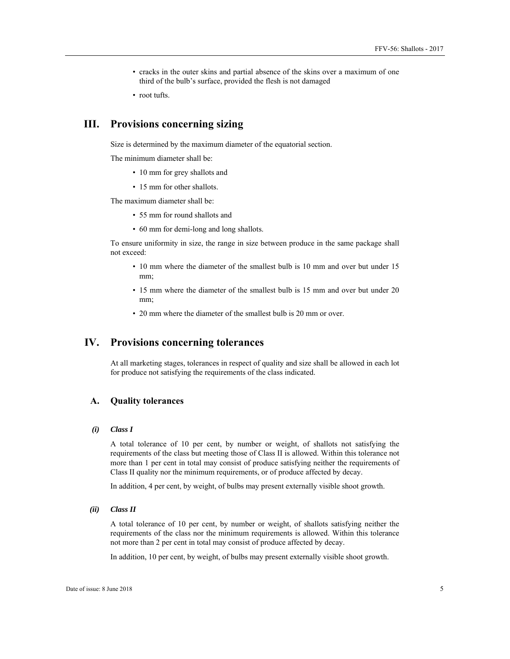- cracks in the outer skins and partial absence of the skins over a maximum of one third of the bulb's surface, provided the flesh is not damaged
- root tufts.

# **III. Provisions concerning sizing**

Size is determined by the maximum diameter of the equatorial section.

The minimum diameter shall be:

- 10 mm for grey shallots and
- 15 mm for other shallots.

The maximum diameter shall be:

- 55 mm for round shallots and
- 60 mm for demi-long and long shallots.

To ensure uniformity in size, the range in size between produce in the same package shall not exceed:

- 10 mm where the diameter of the smallest bulb is 10 mm and over but under 15 mm;
- 15 mm where the diameter of the smallest bulb is 15 mm and over but under 20 mm;
- 20 mm where the diameter of the smallest bulb is 20 mm or over.

# **IV. Provisions concerning tolerances**

At all marketing stages, tolerances in respect of quality and size shall be allowed in each lot for produce not satisfying the requirements of the class indicated.

#### **A. Quality tolerances**

#### *(i) Class I*

A total tolerance of 10 per cent, by number or weight, of shallots not satisfying the requirements of the class but meeting those of Class II is allowed. Within this tolerance not more than 1 per cent in total may consist of produce satisfying neither the requirements of Class II quality nor the minimum requirements, or of produce affected by decay.

In addition, 4 per cent, by weight, of bulbs may present externally visible shoot growth.

*(ii) Class II* 

A total tolerance of 10 per cent, by number or weight, of shallots satisfying neither the requirements of the class nor the minimum requirements is allowed. Within this tolerance not more than 2 per cent in total may consist of produce affected by decay.

In addition, 10 per cent, by weight, of bulbs may present externally visible shoot growth.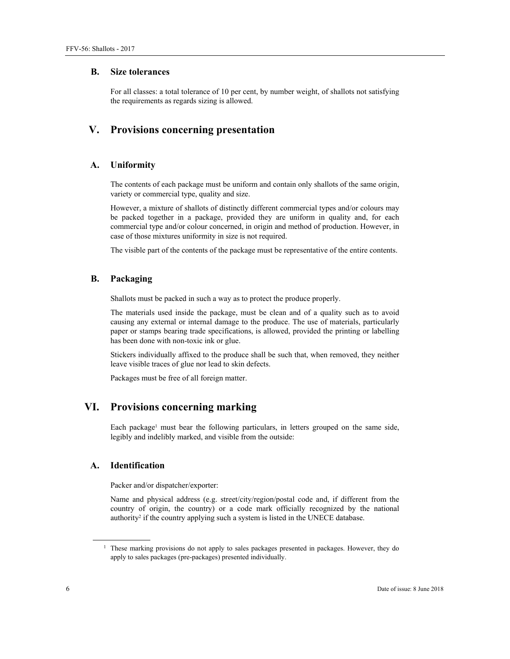#### **B. Size tolerances**

For all classes: a total tolerance of 10 per cent, by number weight, of shallots not satisfying the requirements as regards sizing is allowed.

# **V. Provisions concerning presentation**

#### **A. Uniformity**

The contents of each package must be uniform and contain only shallots of the same origin, variety or commercial type, quality and size.

However, a mixture of shallots of distinctly different commercial types and/or colours may be packed together in a package, provided they are uniform in quality and, for each commercial type and/or colour concerned, in origin and method of production. However, in case of those mixtures uniformity in size is not required.

The visible part of the contents of the package must be representative of the entire contents.

#### **B. Packaging**

Shallots must be packed in such a way as to protect the produce properly.

The materials used inside the package, must be clean and of a quality such as to avoid causing any external or internal damage to the produce. The use of materials, particularly paper or stamps bearing trade specifications, is allowed, provided the printing or labelling has been done with non-toxic ink or glue.

Stickers individually affixed to the produce shall be such that, when removed, they neither leave visible traces of glue nor lead to skin defects.

Packages must be free of all foreign matter.

# **VI. Provisions concerning marking**

Each package<sup>1</sup> must bear the following particulars, in letters grouped on the same side, legibly and indelibly marked, and visible from the outside:

#### **A. Identification**

Packer and/or dispatcher/exporter:

Name and physical address (e.g. street/city/region/postal code and, if different from the country of origin, the country) or a code mark officially recognized by the national authority<sup>2</sup> if the country applying such a system is listed in the UNECE database.

 $\overline{a}$ 

<sup>&</sup>lt;sup>1</sup> These marking provisions do not apply to sales packages presented in packages. However, they do apply to sales packages (pre-packages) presented individually.